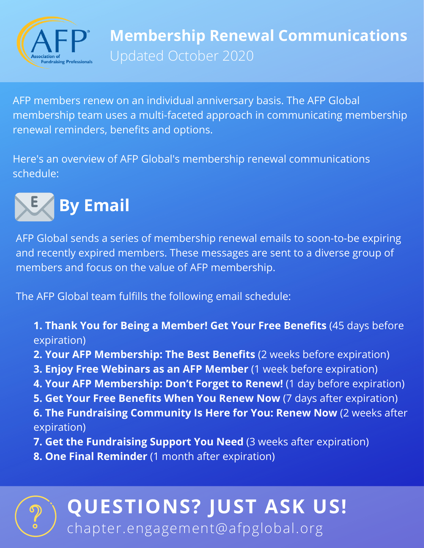

AFP members renew on an individual anniversary basis. The AFP Global membership team uses a multi-faceted approach in communicating membership renewal reminders, benefits and options.

Here's an overview of AFP Global's membership renewal communications schedule:



AFP Global sends a series of membership renewal emails to soon-to-be expiring and recently expired members. These messages are sent to a diverse group of members and focus on the value of AFP membership.

The AFP Global team fulfills the following email schedule:

- **1. Thank You for Being a Member! Get Your Free Benefits** (45 days before expiration)
- **2. Your AFP Membership: The Best Benefits** (2 weeks before expiration)
- **3. Enjoy Free Webinars as an AFP Member** (1 week before expiration)
- **4. Your AFP Membership: Don't Forget to Renew!** (1 day before expiration)
- **5. Get Your Free Benefits When You Renew Now** (7 days after expiration)
- **6. The Fundraising Community Is Here for You: Renew Now** (2 weeks after expiration)
- **7. Get the Fundraising Support You Need** (3 weeks after expiration)
- **8. One Final Reminder** (1 month after expiration)

## **QUESTIONS? JUST ASK US!** chapter.engagement@afpglobal.org